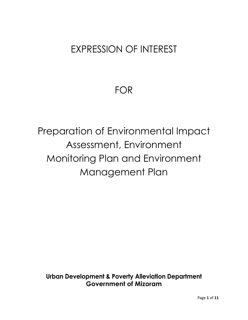## EXPRESSION OF INTEREST

## FOR

# Preparation of Environmental Impact Assessment, Environment Monitoring Plan and Environment Management Plan

**Urban Development & Poverty Alleviation Department Government of Mizoram**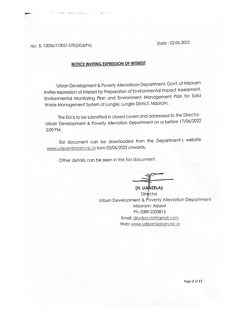Date: 02.06.2022

No: B. 13036/7/2021-DTE(UD&PA)

#### **NOTICE INVITING EXPRESSION OF INTEREST**

Urban Development & Poverty Alleviatioon Department, Govt. of Mizoram invites expression of interest for Preparation of Environmental Impact Assessment, Environmental Monitoring Plan and Environment Management Plan for Solid Waste Management System at Lunglei, Lunglei District, Mizoram.

The EoI is to be submitted in closed covers and addressed to the Director, Urban Development & Poverty Alleviation Department on or before 17/06/2022 2:00 PM.

Eol document can be downloaded from the Department's website www.udpamizoram.nic.in from 03/06/2022 onwards.

Other details can be seen in the EoI document.

(H. LIANZELA) Director Urban Development & Poverty Alleviation Department Mizoram: Aizawl Ph: 0389-2333815 Email: dirudpa.mz@gmail.com Web: www.udpamizoram.nic.in

Page 2 of 11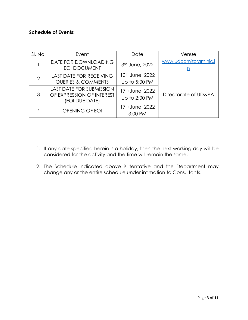#### **Schedule of Events:**

| SI. No.        | Event                                                                          | Date                                         | Venue                                 |  |
|----------------|--------------------------------------------------------------------------------|----------------------------------------------|---------------------------------------|--|
|                | DATE FOR DOWNLOADING<br>EOI DOCUMENT                                           | 3rd June, 2022                               | www.udpamizoram.nic.i<br>$\mathbf{L}$ |  |
| $\overline{2}$ | <b>LAST DATE FOR RECEIVING</b><br><b>QUERIES &amp; COMMENTS</b>                | 10th June, 2022<br>Up to 5:00 PM             | Directorate of UD&PA                  |  |
| 3              | <b>LAST DATE FOR SUBMISSION</b><br>OF EXPRESSION OF INTEREST<br>(EOI DUE DATE) | 17 <sup>th</sup> June, 2022<br>Up to 2:00 PM |                                       |  |
|                | OPENING OF EOI                                                                 | 17 <sup>th</sup> June, 2022<br>3:00 PM       |                                       |  |

- 1. If any date specified herein is a holiday, then the next working day will be considered for the activity and the time will remain the same.
- 2. The Schedule indicated above is tentative and the Department may change any or the entire schedule under intimation to Consultants.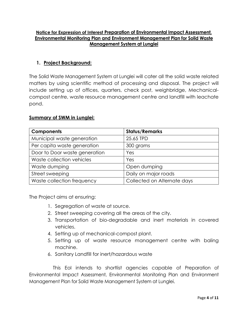#### **Notice for Expression of Interest Preparation of Environmental Impact Assessment, Environmental Monitoring Plan and Environment Management Plan for Solid Waste Management System at Lunglei**

#### **1. Project Background:**

The Solid Waste Management System at Lunglei will cater all the solid waste related matters by using scientific method of processing and disposal. The project will include setting up of offices, quarters, check post, weighbridge, Mechanicalcompost centre, waste resource management centre and landfill with leachate pond.

#### **Summary of SWM in Lunglei:**

| <b>Components</b>             | <b>Status/Remarks</b>       |  |
|-------------------------------|-----------------------------|--|
| Municipal waste generation    | 25.65 TPD                   |  |
| Per capita waste generation   | 300 grams                   |  |
| Door to Door waste generation | Yes                         |  |
| Waste collection vehicles     | Yes                         |  |
| Waste dumping                 | Open dumping                |  |
| Street sweeping               | Daily on major roads        |  |
| Waste collection frequency    | Collected on Alternate days |  |

The Project aims at ensuring:

- 1. Segregation of waste at source.
- 2. Street sweeping covering all the areas of the city.
- 3. Transportation of bio-degradable and inert materials in covered vehicles.
- 4. Setting up of mechanical-compost plant.
- 5. Setting up of waste resource management centre with baling machine.
- 6. Sanitary Landfill for inert/hazardous waste

This EoI intends to shortlist agencies capable of Preparation of Environmental Impact Assessment, Environmental Monitoring Plan and Environment Management Plan for Solid Waste Management System at Lunglei.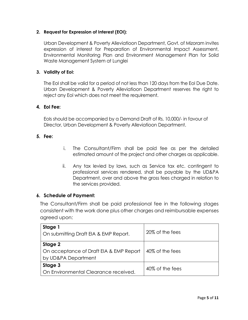#### **2. Request for Expression of Interest (EOI):**

Urban Development & Poverty Alleviatioon Department, Govt. of Mizoram invites expression of interest for Preparation of Environmental Impact Assessment, Environmental Monitoring Plan and Environment Management Plan for Solid Waste Management System at Lunglei

#### **3. Validity of EoI:**

The EoI shall be valid for a period of not less than 120 days from the EoI Due Date. Urban Development & Poverty Alleviatioon Department reserves the right to reject any EoI which does not meet the requirement.

#### **4. EoI Fee:**

EoIs should be accompanied by a Demand Draft of Rs. 10,000/- in favour of Director, Urban Development & Poverty Alleviatioon Department.

#### **5. Fee:**

- i. The Consultant/Firm shall be paid fee as per the detailed estimated amount of the project and other charges as applicable.
- ii. Any tax levied by laws, such as Service tax etc. contingent to professional services rendered, shall be payable by the UD&PA Department, over and above the gross fees charged in relation to the services provided.

#### **6. Schedule of Payment:**

The Consultant/Firm shall be paid professional fee in the following stages consistent with the work done plus other charges and reimbursable expenses agreed upon:

| Stage 1<br>On submitting Draft EIA & EMP Report.                          | 20% of the fees |
|---------------------------------------------------------------------------|-----------------|
| Stage 2<br>On acceptance of Draft EIA & EMP Report<br>by UD&PA Department | 40% of the fees |
| Stage 3<br>On Environmental Clearance received.                           | 40% of the fees |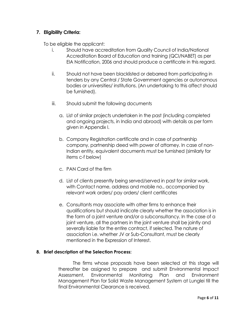#### **7. Eligibility Criteria:**

To be eligible the applicant:

- i. Should have accreditation from Quality Council of India/National Accreditation Board of Education and training (QCI/NABET) as per EIA Notification, 2006 and should produce a certificate in this regard.
- ii. Should not have been blacklisted or debarred from participating in tenders by any Central / State Government agencies or autonomous bodies or universities/ institutions. (An undertaking to this affect should be furnished).
- iii. Should submit the following documents
	- a. List of similar projects undertaken in the past (including completed and ongoing projects, in India and abroad) with details as per form given in Appendix I.
	- b. Company Registration certificate and in case of partnership company, partnership deed with power of attorney. In case of non-Indian entity, equivalent documents must be furnished (similarly for items c-f below)
	- c. PAN Card of the firm
	- d. List of clients presently being served/served in past for similar work, with Contact name, address and mobile no., accompanied by relevant work orders/ pay orders/ client certificates
	- e. Consultants may associate with other firms to enhance their qualifications but should indicate clearly whether the association is in the form of a joint venture and/or a subconsultancy. In the case of a joint venture, all the partners in the joint venture shall be jointly and severally liable for the entire contract, if selected. The nature of association i.e. whether JV or Sub-Consultant, must be clearly mentioned in the Expression of Interest.

#### **8. Brief description of the Selection Process:**

The firms whose proposals have been selected at this stage will thereafter be assigned to prepare and submit Environmental Impact Assessment, Environmental Monitoring Plan and Environment Management Plan for Solid Waste Management System at Lunglei till the final Environmental Clearance is received.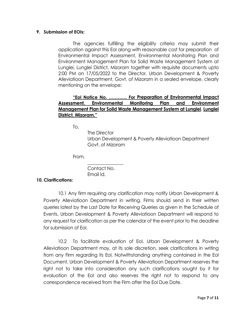#### **9. Submission of EOIs:**

The agencies fulfilling the eligibility criteria may submit their application against this EoI along with reasonable cost for preparation of Environmental Impact Assessment, Environmental Monitoring Plan and Environment Management Plan for Solid Waste Management System at Lunglei, Lunglei District, Mizoram together with requisite documents upto 2:00 PM on 17/05/2022 to the Director, Urban Development & Poverty Alleviatioon Department, Govt. of Mizoram in a sealed envelope, clearly mentioning on the envelope:

#### **"EoI Notice No. ………… For Preparation of Environmental Impact Assessment, Environmental Monitoring Plan and Environment Management Plan for Solid Waste Management System at Lunglei**, **Lunglei District, Mizoram."**

To,

 The Director Urban Development & Poverty Alleviatioon Department Govt. of Mizoram

From,

 $\mathcal{L}_\text{max}$  , and the set of the set of the set of the set of the set of the set of the set of the set of the set of the set of the set of the set of the set of the set of the set of the set of the set of the set of the Contact No. Email Id.

#### **10. Clarifications:**

10.1 Any firm requiring any clarification may notify Urban Development & Poverty Alleviatioon Department in writing. Firms should send in their written queries latest by the Last Date for Receiving Queries as given in the Schedule of Events. Urban Development & Poverty Alleviatioon Department will respond to any request for clarification as per the calendar of the event prior to the deadline for submission of EoI.

10.2 To facilitate evaluation of EoI, Urban Development & Poverty Alleviatioon Department may, at its sole discretion, seek clarifications in writing from any Firm regarding its EoI. Notwithstanding anything contained in the EoI Document, Urban Development & Poverty Alleviatioon Department reserves the right not to take into consideration any such clarifications sought by it for evaluation of the EoI and also reserves the right not to respond to any correspondence received from the Firm after the EoI Due Date.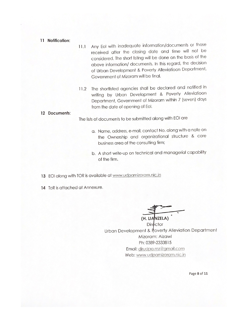- 11 Notification:
- Any Eol with inadequate information/documents or those  $11.1$ received after the closing date and time will not be considered. The short listing will be done on the basis of the above information/ documents. In this regard, the decision of Urban Development & Poverty Alleviatioon Department, Government of Mizoram will be final.
- 11.2 The shortlisted agencies shall be declared and notified in writing by Urban Development & Poverty Alleviatioon Department, Government of Mizoram within 7 (seven) days from the date of opening of Eol.

#### 12 Documents:

The lists of documents to be submitted along with EOI are

- a. Name, address, e-mail, contact No. along with a note on the Ownership and organizational structure & core business area of the consulting firm;
- b. A short write-up on technical and managerial capability of the firm.

13 EOI along with TOR is available at www.udpamizoram.nic.in

14 ToR is attached at Annexure.

(H. LIANZELA) Director Urban Development & Poverty Alleviation Department Mizoram: Aizawl Ph: 0389-2333815 Email: dirudpa.mz@gmail.com Web: www.udpamizoram.nic.in

Page 8 of 11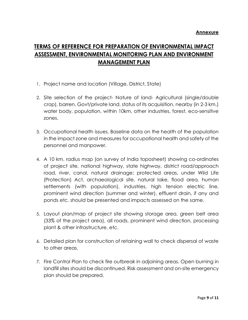### **TERMS OF REFERENCE FOR PREPARATION OF ENVIRONMENTAL IMPACT ASSESSMENT, ENVIRONMENTAL MONITORING PLAN AND ENVIRONMENT MANAGEMENT PLAN**

- 1. Project name and location (Village, District, State)
- 2. Site selection of the project- Nature of land- Agricultural (single/double crop), barren, Govt/private land, status of its acquisition, nearby (in 2-3 km.) water body, population, within 10km, other industries, forest, eco-sensitive zones.
- 3. Occupational health issues. Baseline data on the health of the population in the impact zone and measures for occupational health and safety of the personnel and manpower.
- 4. A 10 km. radius map (on survey of India toposheet) showing co-ordinates of project site, national highway, state highway, district road/approach road, river, canal, natural drainage; protected areas, under Wild Life (Protection) Act, archaeological site, natural lake, flood area, human settlements (with population), industries, high tension electric line, prominent wind direction (summer and winter), effluent drain, if any and ponds etc. should be presented and impacts assessed on the same.
- 5. Layout plan/map of project site showing storage area, green belt area (33% of the project area), all roads, prominent wind direction, processing plant & other infrastructure, etc.
- 6. Detailed plan for construction of retaining wall to check dispersal of waste to other areas.
- 7. Fire Control Plan to check fire outbreak in adjoining areas. Open burning in landfill sites should be discontinued. Risk assessment and on-site emergency plan should be prepared.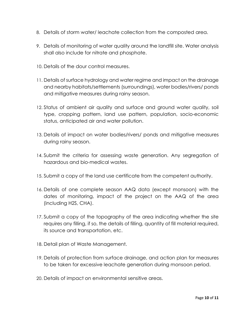- 8. Details of storm water/ leachate collection from the composted area.
- 9. Details of monitoring of water quality around the landfill site. Water analysis shall also include for nitrate and phosphate.
- 10. Details of the dour control measures.
- 11. Details of surface hydrology and water regime and impact on the drainage and nearby habitats/settlements (surroundings), water bodies/rivers/ ponds and mitigative measures during rainy season.
- 12. Status of ambient air quality and surface and ground water quality, soil type, cropping pattern, land use pattern, population, socio-economic status, anticipated air and water pollution.
- 13. Details of impact on water bodies/rivers/ ponds and mitigative measures during rainy season.
- 14. Submit the criteria for assessing waste generation. Any segregation of hazardous and bio-medical wastes.
- 15. Submit a copy of the land use certificate from the competent authority.
- 16. Details of one complete season AAQ data (except monsoon) with the dates of monitoring, impact of the project on the AAQ of the area (including H2S, CHA).
- 17. Submit a copy of the topography of the area indicating whether the site requires any filling, if so, the details of filling, quantity of fill material required, its source and transportation, etc.
- 18. Detail plan of Waste Management.
- 19. Details of protection from surface drainage, and action plan for measures to be taken for excessive leachate generation during monsoon period.
- 20. Details of impact on environmental sensitive areas.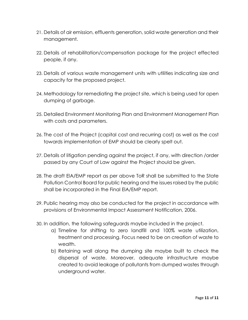- 21. Details of air emission, effluents generation, solid waste generation and their management.
- 22. Details of rehabilitation/compensation package for the project effected people, if any.
- 23. Details of various waste management units with utilities indicating size and capacity for the proposed project.
- 24. Methodology for remediating the project site, which is being used for open dumping of garbage.
- 25. Detailed Environment Monitoring Plan and Environment Management Plan with costs and parameters.
- 26. The cost of the Project (capital cost and recurring cost) as well as the cost towards implementation of EMP should be clearly spelt out.
- 27. Details of litigation pending against the project, if any, with direction /order passed by any Court of Law against the Project should be given.
- 28. The draft ElA/EMP report as per above ToR shall be submitted to the State Pollution Control Board for public hearing and the issues raised by the public shall be incorporated in the Final ElA/EMP report.
- 29. Public hearing may also be conducted for the project in accordance with provisions of Environmental Impact Assessment Notification, 2006.
- 30. In addition, the following safeguards maybe included in the project.
	- a) Timeline for shifting to zero landfill and 100% waste utilization, treatment and processing. Focus need to be on creation of waste to wealth.
	- b) Retaining wall along the dumping site maybe built to check the dispersal of waste. Moreover, adequate infrastructure maybe created to avoid leakage of pollutants from dumped wastes through underground water.